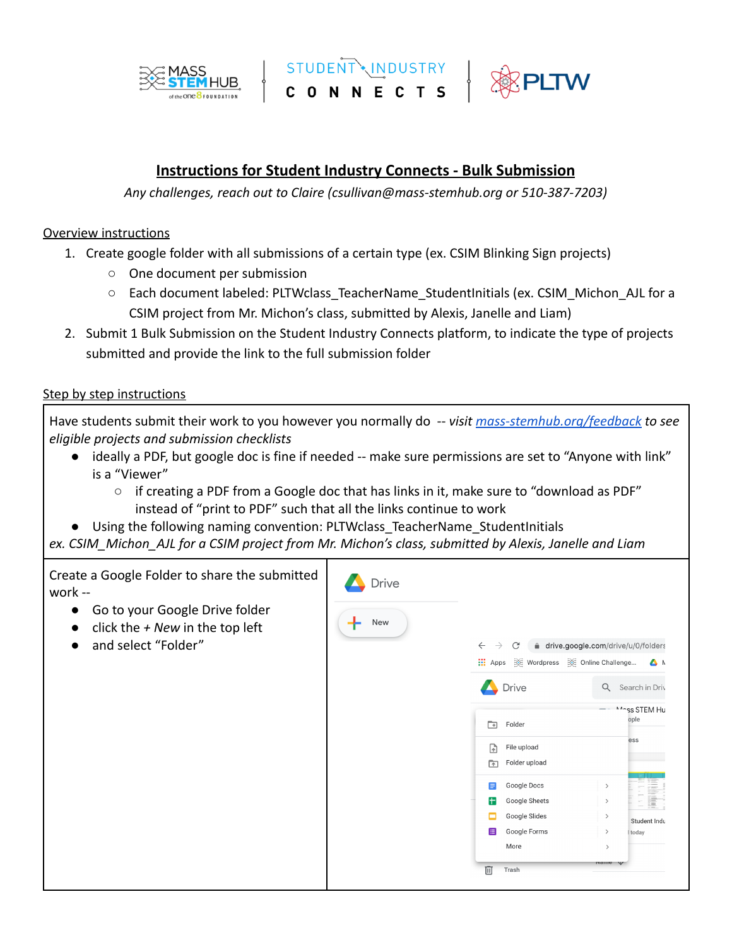



## **Instructions for Student Industry Connects - Bulk Submission**

*Any challenges, reach out to Claire (csullivan[@mass-stemhub.org](mailto:aparisiamon@mass-stemhub.org) or 510-387-7203)*

## Overview instructions

- 1. Create google folder with all submissions of a certain type (ex. CSIM Blinking Sign projects)
	- One document per submission
	- Each document labeled: PLTWclass\_TeacherName\_StudentInitials (ex. CSIM\_Michon\_AJL for a CSIM project from Mr. Michon's class, submitted by Alexis, Janelle and Liam)
- 2. Submit 1 Bulk Submission on the Student Industry Connects platform, to indicate the type of projects submitted and provide the link to the full submission folder

## Step by step instructions

Have students submit their work to you however you normally do -- *visit [mass-stemhub.org/feedback](https://mass-stemhub.org/student-industry-connects/) to see eligible projects and submission checklists*

- ideally a PDF, but google doc is fine if needed -- make sure permissions are set to "Anyone with link" is a "Viewer"
	- $\circ$  if creating a PDF from a Google doc that has links in it, make sure to "download as PDF" instead of "print to PDF" such that all the links continue to work
- Using the following naming convention: PLTWclass\_TeacherName\_StudentInitials

*ex. CSIM\_Michon\_AJL for a CSIM project from Mr. Michon's class, submitted by Alexis, Janelle and Liam*

Create a Google Folder to share the submitted **Drive** work -- ● Go to your Google Drive folder New ● click the *+ New* in the top left ● and select "Folder"  $\leftarrow$   $\rightarrow$   $\mathbb{C}^{\prime}$  a drive.google.com/drive/u/0/folders Apps  $\frac{1}{2}$  Wordpress  $\frac{1}{2}$  Online Challenge... A M Drive Q Search in Driv Anss STEM Hu ople  $\boxed{\rightarrow}$  Folder ess  $\begin{bmatrix} 1 \\ 4 \end{bmatrix}$  File upload Folder upload Google Docs **F** Google Sheets  $\Box$  Google Slides  $\rightarrow$ Student Indu Google Forms today More Trash 而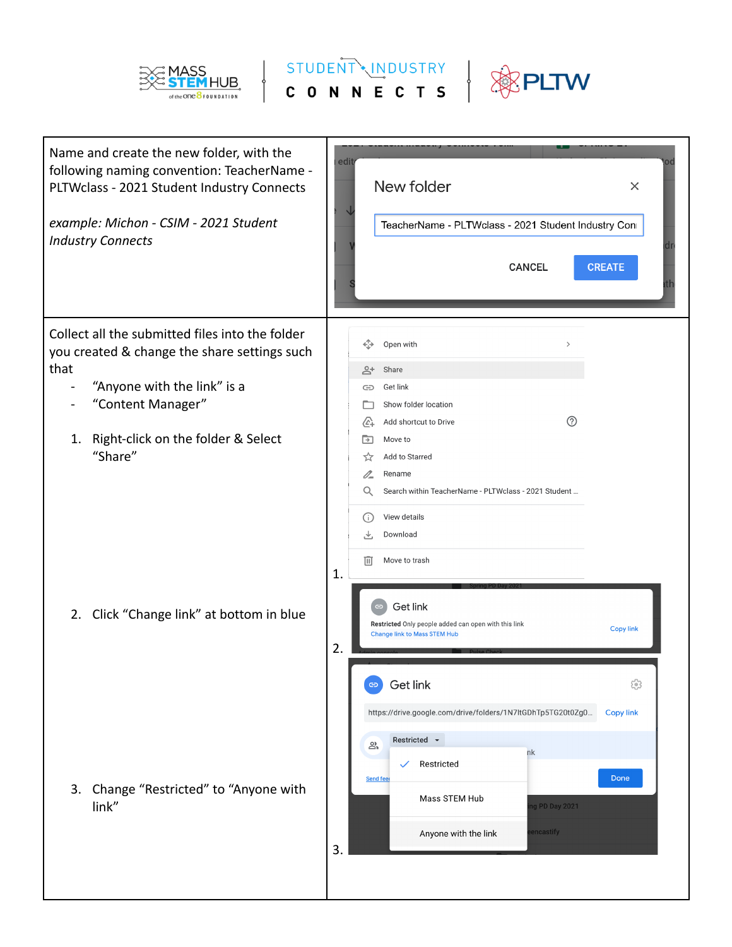

STUDENT MINDUSTRY

**PLTW** 

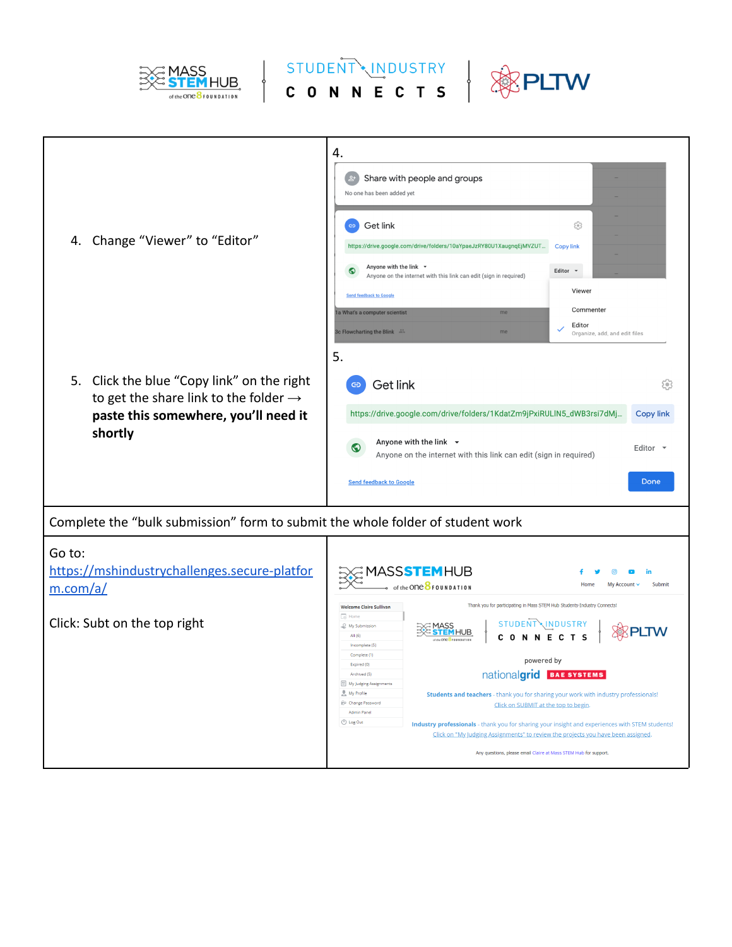

EXEMASS STUDENT MIDUSTRY & PLTW



| Change "Viewer" to "Editor"<br>4.                                                                                                                     | 4.<br>Share with people and groups<br>No one has been added yet<br>Get link<br>ස<br>$\oplus$<br>https://drive.google.com/drive/folders/10aYpaeJzRY80U1XaugnqEjMVZUT<br><b>Copy link</b><br>Anyone with the link *<br>$\bullet$<br>Editor $\sim$<br>Anyone on the internet with this link can edit (sign in required)<br>Viewer<br><b>Send feedback to Google</b><br>Commenter<br>1a What's a computer scientist<br>me<br>Editor                                                                                                                                                                                                                                                                                                                                                                                                                                                                                                                                               |
|-------------------------------------------------------------------------------------------------------------------------------------------------------|-------------------------------------------------------------------------------------------------------------------------------------------------------------------------------------------------------------------------------------------------------------------------------------------------------------------------------------------------------------------------------------------------------------------------------------------------------------------------------------------------------------------------------------------------------------------------------------------------------------------------------------------------------------------------------------------------------------------------------------------------------------------------------------------------------------------------------------------------------------------------------------------------------------------------------------------------------------------------------|
| Click the blue "Copy link" on the right<br>5.<br>to get the share link to the folder $\rightarrow$<br>paste this somewhere, you'll need it<br>shortly | 3c Flowcharting the Blink 35<br>me<br>Organize, add, and edit files<br>5.<br>Get link<br>803<br>https://drive.google.com/drive/folders/1KdatZm9jPxiRULIN5_dWB3rsi7dMj<br><b>Copy link</b><br>Anyone with the link $\rightarrow$<br>$\bullet$<br>Editor $\sim$<br>Anyone on the internet with this link can edit (sign in required)<br>Done<br><b>Send feedback to Google</b>                                                                                                                                                                                                                                                                                                                                                                                                                                                                                                                                                                                                  |
| Complete the "bulk submission" form to submit the whole folder of student work                                                                        |                                                                                                                                                                                                                                                                                                                                                                                                                                                                                                                                                                                                                                                                                                                                                                                                                                                                                                                                                                               |
| Go to:<br>https://mshindustrychallenges.secure-platfor<br>m.com/a/<br>Click: Subt on the top right                                                    | MASS <b>STEM</b> HUB<br>in<br>of the ONC $8$ FOUNDATION<br>Submit<br>Hom<br>My Account \<br>Thank you for participating in Mass STEM Hub Students-Industry Connects!<br><b>Welcome Claire Sullivan</b><br>$\overline{\odot}$ Home<br>STUDENT\INDUSTRY<br>My Submission<br><b>MHUB</b><br>All $(6)$<br><b>NEC</b><br>T S<br>$\Omega$<br>N<br>the ONC <b>BFOUNDATION</b><br>Incomplete (5)<br>Complete (1)<br>powered by<br>Expired (0)<br>nationalgrid BAE SYSTEMS<br>Archived (5)<br>My Judging Assignments<br>My Profile<br>Students and teachers - thank you for sharing your work with industry professionals!<br><b>PP</b> Change Password<br>Click on SUBMIT at the top to begin.<br>Admin Panel<br>U Log Out<br>Industry professionals - thank you for sharing your insight and experiences with STEM students!<br>Click on "My Judging Assignments" to review the projects you have been assigned.<br>Any questions, please email Claire at Mass STEM Hub for support. |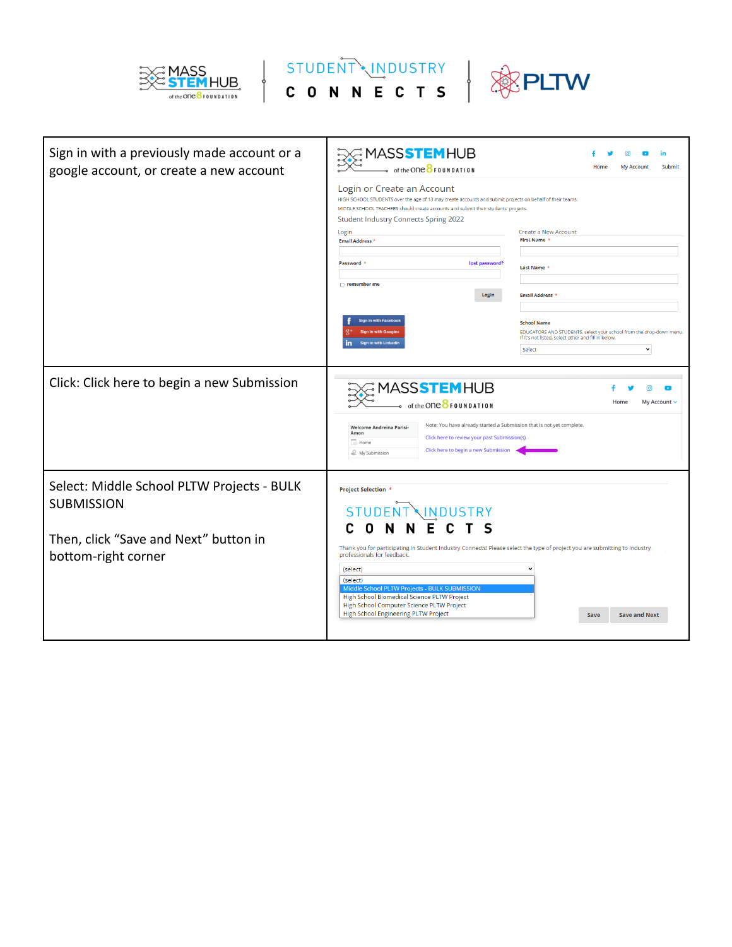





| Sign in with a previously made account or a<br>google account, or create a new account                                          | (2 MASS <b>STEM</b> HUB<br>of the ONC <b>OF DUNDATION</b><br>Login or Create an Account<br>HIGH SCHOOL STUDENTS over the age of 13 may create accounts and submit projects on behalf of their teams.<br>MIDDLE SCHOOL TEACHERS should create accounts and submit their students' projects.<br><b>Student Industry Connects Spring 2022</b><br>Login<br><b>Email Address *</b><br>Password *<br>lost password? | in<br>Submit<br>Home<br><b>My Account</b><br><b>Create a New Account</b><br><b>First Name</b><br>Last Name                                                                 |
|---------------------------------------------------------------------------------------------------------------------------------|---------------------------------------------------------------------------------------------------------------------------------------------------------------------------------------------------------------------------------------------------------------------------------------------------------------------------------------------------------------------------------------------------------------|----------------------------------------------------------------------------------------------------------------------------------------------------------------------------|
|                                                                                                                                 | $\Box$ remember me<br>Login                                                                                                                                                                                                                                                                                                                                                                                   | <b>Email Address</b>                                                                                                                                                       |
|                                                                                                                                 | Sign in with Facebo<br>Sian in with Go<br>Sign in with LinkedIr                                                                                                                                                                                                                                                                                                                                               | <b>School Name</b><br>EDUCATORS AND STUDENTS, select your school from the drop-down menu.<br>If it's not listed, select other and fill in below.<br>$\checkmark$<br>Select |
| Click: Click here to begin a new Submission                                                                                     | MASS <mark>STEM</mark> HUB<br>of the ONC $8$ FOUNDATION<br>Note: You have already started a Submission that is not yet complete.<br>Welcome Andreina Parisi-<br>Amon<br>Click here to review your past Submission(s)<br>$\Box$ Home<br>Click here to begin a new Submission<br>My Submission                                                                                                                  | Home<br>My Account v                                                                                                                                                       |
| Select: Middle School PLTW Projects - BULK<br><b>SUBMISSION</b><br>Then, click "Save and Next" button in<br>bottom-right corner | <b>Project Selection *</b><br><b>STUDENT</b><br><b>NINDUSTRY</b><br>Thank you for participating in Student Industry Connects! Please select the type of project you are submitting to industry<br>professionals for feedback.                                                                                                                                                                                 |                                                                                                                                                                            |
|                                                                                                                                 | (select)<br>(select)<br>Middle School PLTW Projects - BULK SUBMISSION<br>High School Biomedical Science PLTW Project<br>High School Computer Science PLTW Project<br>High School Engineering PLTW Project                                                                                                                                                                                                     | <b>Save and Next</b><br>Save                                                                                                                                               |